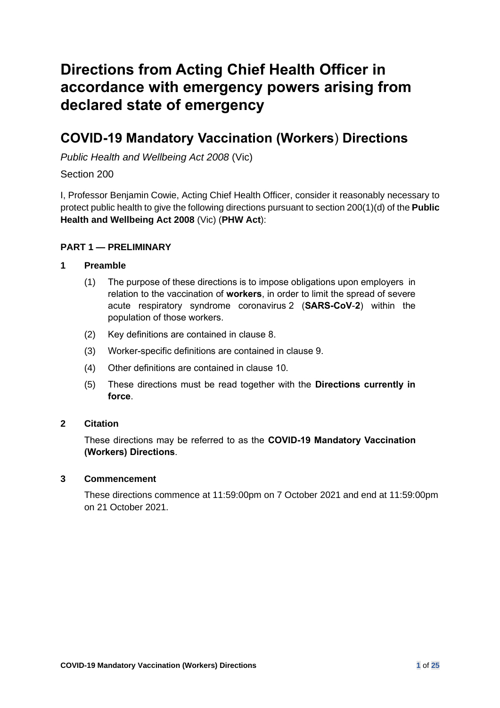# **Directions from Acting Chief Health Officer in accordance with emergency powers arising from declared state of emergency**

## **COVID-19 Mandatory Vaccination (Workers**) **Directions**

*Public Health and Wellbeing Act 2008* (Vic)

## Section 200

I, Professor Benjamin Cowie, Acting Chief Health Officer, consider it reasonably necessary to protect public health to give the following directions pursuant to section 200(1)(d) of the **Public Health and Wellbeing Act 2008** (Vic) (**PHW Act**):

## **PART 1 — PRELIMINARY**

## **1 Preamble**

- (1) The purpose of these directions is to impose obligations upon employers in relation to the vaccination of **workers**, in order to limit the spread of severe acute respiratory syndrome coronavirus 2 (**SARS-CoV**-**2**) within the population of those workers.
- (2) Key definitions are contained in clause [8.](#page-3-0)
- (3) Worker-specific definitions are contained in clause [9.](#page-5-0)
- (4) Other definitions are contained in clause [10.](#page-17-0)
- (5) These directions must be read together with the **Directions currently in force**.

## **2 Citation**

These directions may be referred to as the **COVID-19 Mandatory Vaccination (Workers) Directions**.

## **3 Commencement**

These directions commence at 11:59:00pm on 7 October 2021 and end at 11:59:00pm on 21 October 2021.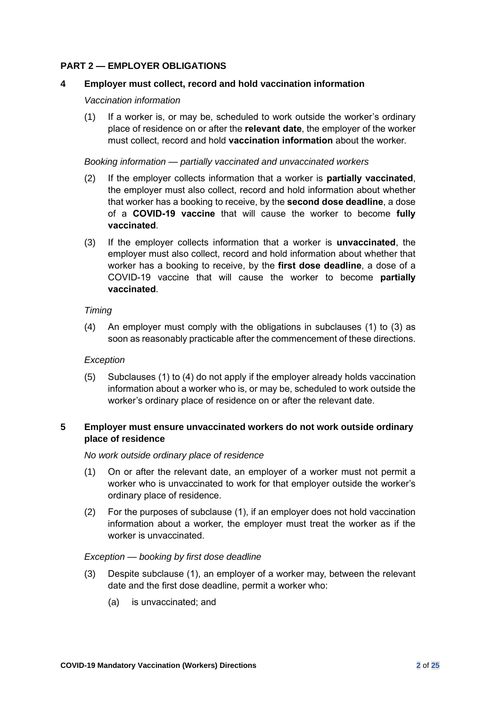## **PART 2 — EMPLOYER OBLIGATIONS**

## <span id="page-1-4"></span>**4 Employer must collect, record and hold vaccination information**

#### *Vaccination information*

<span id="page-1-0"></span>(1) If a worker is, or may be, scheduled to work outside the worker's ordinary place of residence on or after the **relevant date**, the employer of the worker must collect, record and hold **vaccination information** about the worker.

#### *Booking information — partially vaccinated and unvaccinated workers*

- (2) If the employer collects information that a worker is **partially vaccinated**, the employer must also collect, record and hold information about whether that worker has a booking to receive, by the **second dose deadline**, a dose of a **COVID-19 vaccine** that will cause the worker to become **fully vaccinated**.
- <span id="page-1-1"></span>(3) If the employer collects information that a worker is **unvaccinated**, the employer must also collect, record and hold information about whether that worker has a booking to receive, by the **first dose deadline**, a dose of a COVID-19 vaccine that will cause the worker to become **partially vaccinated**.

## *Timing*

<span id="page-1-2"></span>(4) An employer must comply with the obligations in subclauses [\(1\)](#page-1-0) to [\(3\)](#page-1-1) as soon as reasonably practicable after the commencement of these directions.

## *Exception*

(5) Subclauses [\(1\)](#page-1-0) to [\(4\)](#page-1-2) do not apply if the employer already holds vaccination information about a worker who is, or may be, scheduled to work outside the worker's ordinary place of residence on or after the relevant date.

## <span id="page-1-5"></span>**5 Employer must ensure unvaccinated workers do not work outside ordinary place of residence**

#### *No work outside ordinary place of residence*

- <span id="page-1-3"></span>(1) On or after the relevant date, an employer of a worker must not permit a worker who is unvaccinated to work for that employer outside the worker's ordinary place of residence.
- (2) For the purposes of subclause [\(1\),](#page-1-3) if an employer does not hold vaccination information about a worker, the employer must treat the worker as if the worker is unvaccinated.

## *Exception — booking by first dose deadline*

- (3) Despite subclause [\(1\),](#page-1-3) an employer of a worker may, between the relevant date and the first dose deadline, permit a worker who:
	- (a) is unvaccinated; and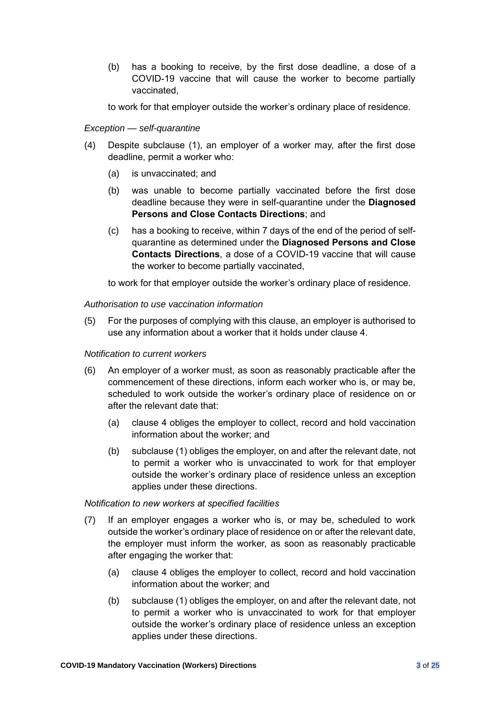(b) has a booking to receive, by the first dose deadline, a dose of a COVID-19 vaccine that will cause the worker to become partially vaccinated,

to work for that employer outside the worker's ordinary place of residence.

## *Exception — self-quarantine*

- (4) Despite subclause [\(1\),](#page-1-3) an employer of a worker may, after the first dose deadline, permit a worker who:
	- (a) is unvaccinated; and
	- (b) was unable to become partially vaccinated before the first dose deadline because they were in self-quarantine under the **Diagnosed Persons and Close Contacts Directions**; and
	- (c) has a booking to receive, within 7 days of the end of the period of selfquarantine as determined under the **Diagnosed Persons and Close Contacts Directions**, a dose of a COVID-19 vaccine that will cause the worker to become partially vaccinated,

to work for that employer outside the worker's ordinary place of residence.

## *Authorisation to use vaccination information*

(5) For the purposes of complying with this clause, an employer is authorised to use any information about a worker that it holds under clause [4.](#page-1-4)

## *Notification to current workers*

- (6) An employer of a worker must, as soon as reasonably practicable after the commencement of these directions, inform each worker who is, or may be, scheduled to work outside the worker's ordinary place of residence on or after the relevant date that:
	- (a) clause [4](#page-1-4) obliges the employer to collect, record and hold vaccination information about the worker; and
	- (b) subclause [\(1\)](#page-1-3) obliges the employer, on and after the relevant date, not to permit a worker who is unvaccinated to work for that employer outside the worker's ordinary place of residence unless an exception applies under these directions.

## *Notification to new workers at specified facilities*

- (7) If an employer engages a worker who is, or may be, scheduled to work outside the worker's ordinary place of residence on or after the relevant date, the employer must inform the worker, as soon as reasonably practicable after engaging the worker that:
	- (a) clause [4](#page-1-4) obliges the employer to collect, record and hold vaccination information about the worker; and
	- (b) subclause [\(1\)](#page-1-3) obliges the employer, on and after the relevant date, not to permit a worker who is unvaccinated to work for that employer outside the worker's ordinary place of residence unless an exception applies under these directions.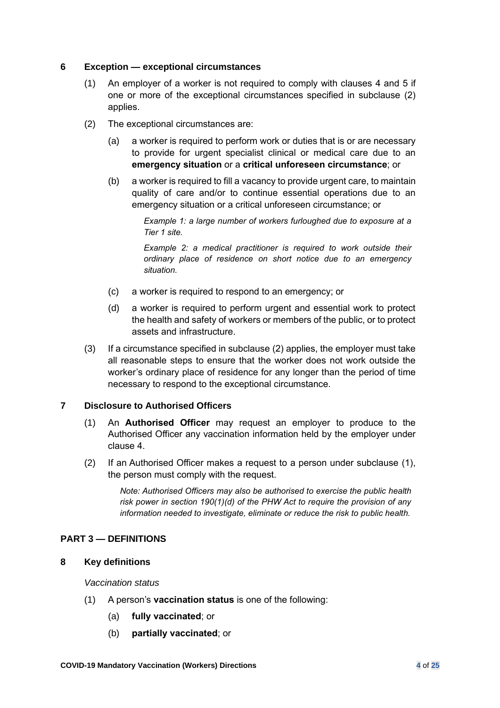## **6 Exception — exceptional circumstances**

- (1) An employer of a worker is not required to comply with clauses [4](#page-1-4) and [5](#page-1-5) if one or more of the exceptional circumstances specified in subclause [\(2\)](#page-3-1) applies.
- <span id="page-3-1"></span>(2) The exceptional circumstances are:
	- (a) a worker is required to perform work or duties that is or are necessary to provide for urgent specialist clinical or medical care due to an **emergency situation** or a **critical unforeseen circumstance**; or
	- (b) a worker is required to fill a vacancy to provide urgent care, to maintain quality of care and/or to continue essential operations due to an emergency situation or a critical unforeseen circumstance; or

*Example 1: a large number of workers furloughed due to exposure at a Tier 1 site.* 

*Example 2: a medical practitioner is required to work outside their ordinary place of residence on short notice due to an emergency situation.*

- (c) a worker is required to respond to an emergency; or
- (d) a worker is required to perform urgent and essential work to protect the health and safety of workers or members of the public, or to protect assets and infrastructure.
- (3) If a circumstance specified in subclause [\(2\)](#page-3-1) applies, the employer must take all reasonable steps to ensure that the worker does not work outside the worker's ordinary place of residence for any longer than the period of time necessary to respond to the exceptional circumstance.

## <span id="page-3-2"></span>**7 Disclosure to Authorised Officers**

- (1) An **Authorised Officer** may request an employer to produce to the Authorised Officer any vaccination information held by the employer under clause [4.](#page-1-4)
- (2) If an Authorised Officer makes a request to a person under subclause [\(1\),](#page-3-2) the person must comply with the request.

*Note: Authorised Officers may also be authorised to exercise the public health risk power in section 190(1)(d) of the PHW Act to require the provision of any information needed to investigate, eliminate or reduce the risk to public health.*

## **PART 3 — DEFINITIONS**

## <span id="page-3-0"></span>**8 Key definitions**

*Vaccination status*

- (1) A person's **vaccination status** is one of the following:
	- (a) **fully vaccinated**; or
	- (b) **partially vaccinated**; or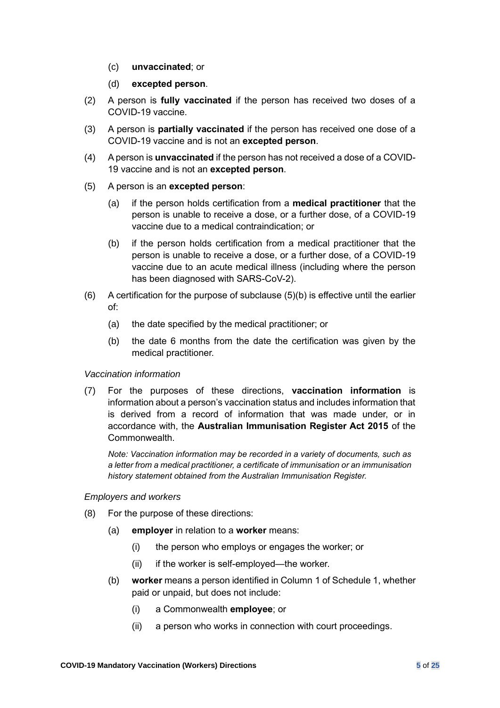- (c) **unvaccinated**; or
- (d) **excepted person**.
- (2) A person is **fully vaccinated** if the person has received two doses of a COVID-19 vaccine.
- (3) A person is **partially vaccinated** if the person has received one dose of a COVID-19 vaccine and is not an **excepted person**.
- (4) A person is **unvaccinated** if the person has not received a dose of a COVID-19 vaccine and is not an **excepted person**.
- (5) A person is an **excepted person**:
	- (a) if the person holds certification from a **medical practitioner** that the person is unable to receive a dose, or a further dose, of a COVID-19 vaccine due to a medical contraindication; or
	- (b) if the person holds certification from a medical practitioner that the person is unable to receive a dose, or a further dose, of a COVID-19 vaccine due to an acute medical illness (including where the person has been diagnosed with SARS-CoV-2).
- $(6)$  A certification for the purpose of subclause  $(5)(b)$  is effective until the earlier of:
	- (a) the date specified by the medical practitioner; or
	- (b) the date 6 months from the date the certification was given by the medical practitioner.

## *Vaccination information*

(7) For the purposes of these directions, **vaccination information** is information about a person's vaccination status and includes information that is derived from a record of information that was made under, or in accordance with, the **Australian Immunisation Register Act 2015** of the Commonwealth.

*Note: Vaccination information may be recorded in a variety of documents, such as a letter from a medical practitioner, a certificate of immunisation or an immunisation history statement obtained from the Australian Immunisation Register.*

## *Employers and workers*

- (8) For the purpose of these directions:
	- (a) **employer** in relation to a **worker** means:
		- (i) the person who employs or engages the worker; or
		- (ii) if the worker is self-employed—the worker.
	- (b) **worker** means a person identified in Column 1 of Schedule 1, whether paid or unpaid, but does not include:
		- (i) a Commonwealth **employee**; or
		- (ii) a person who works in connection with court proceedings.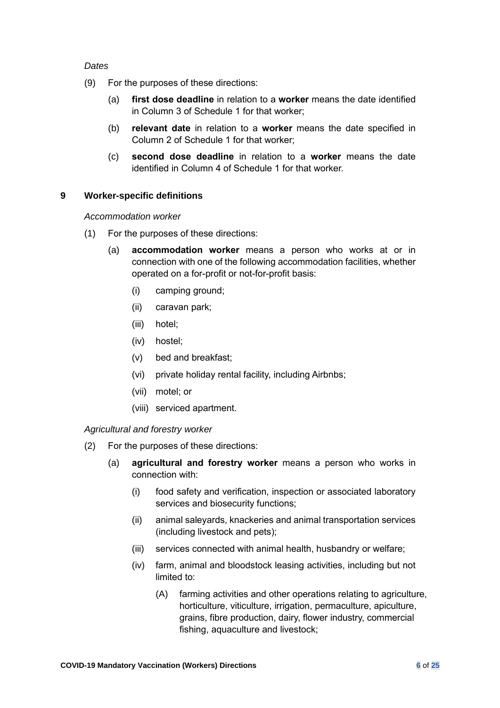## <span id="page-5-1"></span>*Dates*

- (9) For the purposes of these directions:
	- (a) **first dose deadline** in relation to a **worker** means the date identified in Column 3 of Schedule 1 for that worker;
	- (b) **relevant date** in relation to a **worker** means the date specified in Column 2 of Schedule 1 for that worker;
	- (c) **second dose deadline** in relation to a **worker** means the date identified in Column 4 of Schedule 1 for that worker.

## <span id="page-5-0"></span>**9 Worker-specific definitions**

*Accommodation worker*

- <span id="page-5-2"></span>(1) For the purposes of these directions:
	- (a) **accommodation worker** means a person who works at or in connection with one of the following accommodation facilities, whether operated on a for-profit or not-for-profit basis:
		- (i) camping ground;
		- (ii) caravan park;
		- (iii) hotel;
		- (iv) hostel;
		- (v) bed and breakfast;
		- (vi) private holiday rental facility, including Airbnbs;
		- (vii) motel; or
		- (viii) serviced apartment.

*Agricultural and forestry worker*

- (2) For the purposes of these directions:
	- (a) **agricultural and forestry worker** means a person who works in connection with:
		- (i) food safety and verification, inspection or associated laboratory services and biosecurity functions;
		- (ii) animal saleyards, knackeries and animal transportation services (including livestock and pets);
		- (iii) services connected with animal health, husbandry or welfare;
		- (iv) farm, animal and bloodstock leasing activities, including but not limited to:
			- (A) farming activities and other operations relating to agriculture, horticulture, viticulture, irrigation, permaculture, apiculture, grains, fibre production, dairy, flower industry, commercial fishing, aquaculture and livestock;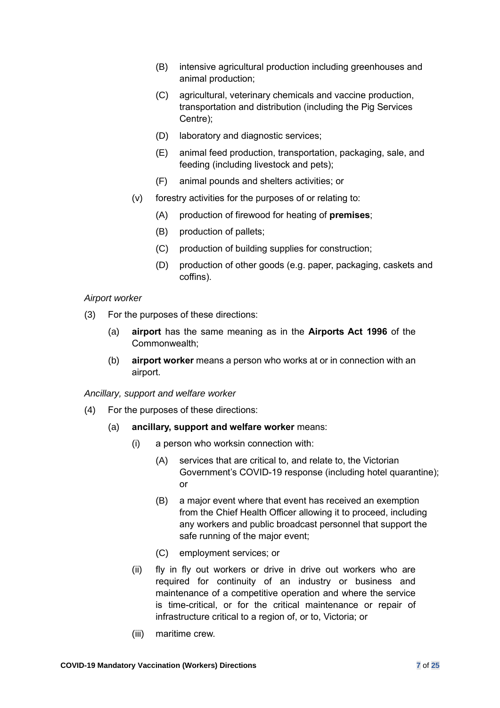- (B) intensive agricultural production including greenhouses and animal production;
- (C) agricultural, veterinary chemicals and vaccine production, transportation and distribution (including the Pig Services Centre);
- (D) laboratory and diagnostic services;
- (E) animal feed production, transportation, packaging, sale, and feeding (including livestock and pets);
- (F) animal pounds and shelters activities; or
- <span id="page-6-1"></span><span id="page-6-0"></span>(v) forestry activities for the purposes of or relating to:
	- (A) production of firewood for heating of **premises**;
	- (B) production of pallets;
	- (C) production of building supplies for construction;
	- (D) production of other goods (e.g. paper, packaging, caskets and coffins).

## *Airport worker*

- (3) For the purposes of these directions:
	- (a) **airport** has the same meaning as in the **Airports Act 1996** of the Commonwealth;
	- (b) **airport worker** means a person who works at or in connection with an airport.

*Ancillary, support and welfare worker*

- (4) For the purposes of these directions:
	- (a) **ancillary, support and welfare worker** means:
		- (i) a person who worksin connection with:
			- (A) services that are critical to, and relate to, the Victorian Government's COVID-19 response (including hotel quarantine); or
			- (B) a major event where that event has received an exemption from the Chief Health Officer allowing it to proceed, including any workers and public broadcast personnel that support the safe running of the major event;
			- (C) employment services; or
		- (ii) fly in fly out workers or drive in drive out workers who are required for continuity of an industry or business and maintenance of a competitive operation and where the service is time-critical, or for the critical maintenance or repair of infrastructure critical to a region of, or to, Victoria; or
		- (iii) maritime crew.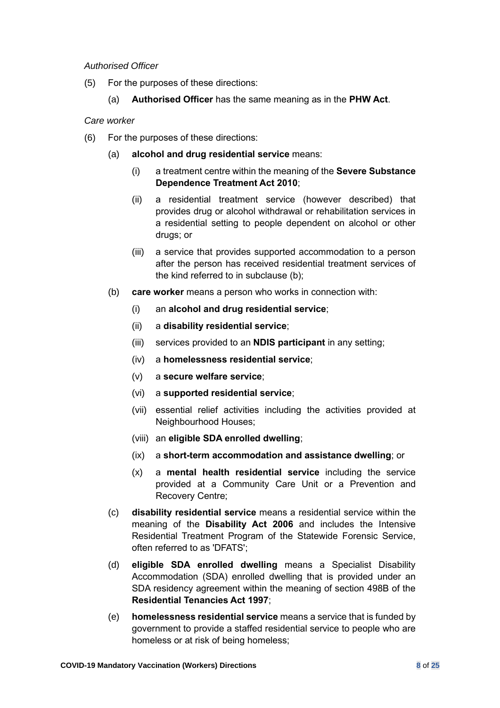## <span id="page-7-1"></span>*Authorised Officer*

- <span id="page-7-2"></span>(5) For the purposes of these directions:
	- (a) **Authorised Officer** has the same meaning as in the **PHW Act**.

*Care worker*

- <span id="page-7-0"></span>(6) For the purposes of these directions:
	- (a) **alcohol and drug residential service** means:
		- (i) a treatment centre within the meaning of the **Severe Substance Dependence Treatment Act 2010**;
		- (ii) a residential treatment service (however described) that provides drug or alcohol withdrawal or rehabilitation services in a residential setting to people dependent on alcohol or other drugs; or
		- (iii) a service that provides supported accommodation to a person after the person has received residential treatment services of the kind referred to in subclause [\(b\);](#page-7-0)
	- (b) **care worker** means a person who works in connection with:
		- (i) an **alcohol and drug residential service**;
		- (ii) a **disability residential service**;
		- (iii) services provided to an **NDIS participant** in any setting;
		- (iv) a **homelessness residential service**;
		- (v) a **secure welfare service**;
		- (vi) a **supported residential service**;
		- (vii) essential relief activities including the activities provided at Neighbourhood Houses;
		- (viii) an **eligible SDA enrolled dwelling**;
		- (ix) a **short-term accommodation and assistance dwelling**; or
		- (x) a **mental health residential service** including the service provided at a Community Care Unit or a Prevention and Recovery Centre;
	- (c) **disability residential service** means a residential service within the meaning of the **Disability Act 2006** and includes the Intensive Residential Treatment Program of the Statewide Forensic Service, often referred to as 'DFATS';
	- (d) **eligible SDA enrolled dwelling** means a Specialist Disability Accommodation (SDA) enrolled dwelling that is provided under an SDA residency agreement within the meaning of section 498B of the **Residential Tenancies Act 1997**;
	- (e) **homelessness residential service** means a service that is funded by government to provide a staffed residential service to people who are homeless or at risk of being homeless;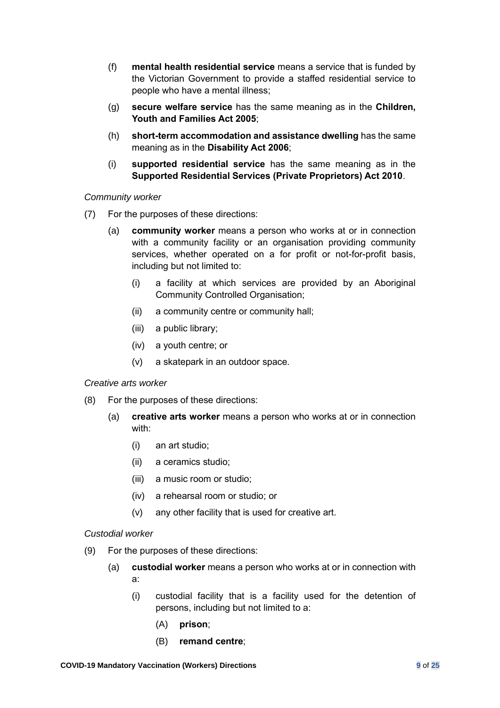- <span id="page-8-0"></span>(f) **mental health residential service** means a service that is funded by the Victorian Government to provide a staffed residential service to people who have a mental illness;
- (g) **secure welfare service** has the same meaning as in the **Children, Youth and Families Act 2005**;
- (h) **short-term accommodation and assistance dwelling** has the same meaning as in the **Disability Act 2006**;
- (i) **supported residential service** has the same meaning as in the **Supported Residential Services (Private Proprietors) Act 2010**.

## *Community worker*

- <span id="page-8-1"></span>(7) For the purposes of these directions:
	- (a) **community worker** means a person who works at or in connection with a community facility or an organisation providing community services, whether operated on a for profit or not-for-profit basis, including but not limited to:
		- (i) a facility at which services are provided by an Aboriginal Community Controlled Organisation;
		- (ii) a community centre or community hall;
		- (iii) a public library;
		- (iv) a youth centre; or
		- (v) a skatepark in an outdoor space.

## <span id="page-8-2"></span>*Creative arts worker*

- (8) For the purposes of these directions:
	- (a) **creative arts worker** means a person who works at or in connection with:
		- (i) an art studio;
		- (ii) a ceramics studio;
		- (iii) a music room or studio;
		- (iv) a rehearsal room or studio; or
		- (v) any other facility that is used for creative art.

## *Custodial worker*

- (9) For the purposes of these directions:
	- (a) **custodial worker** means a person who works at or in connection with a:
		- (i) custodial facility that is a facility used for the detention of persons, including but not limited to a:
			- (A) **prison**;
			- (B) **remand centre**;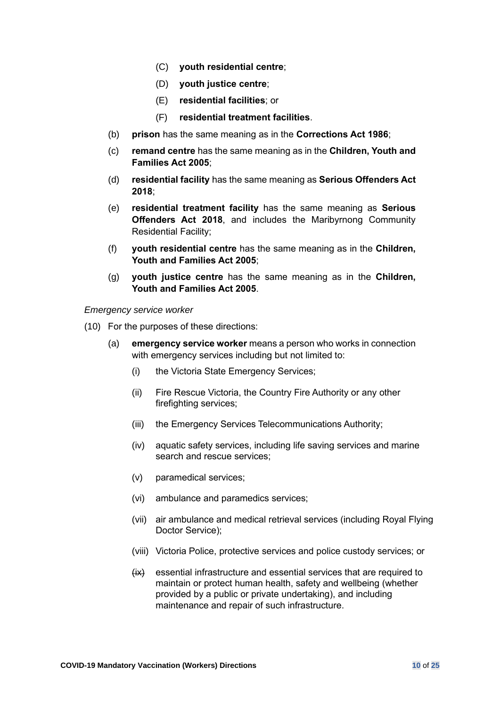- (C) **youth residential centre**;
- (D) **youth justice centre**;
- (E) **residential facilities**; or
- (F) **residential treatment facilities**.
- <span id="page-9-0"></span>(b) **prison** has the same meaning as in the **Corrections Act 1986**;
- (c) **remand centre** has the same meaning as in the **Children, Youth and Families Act 2005**;
- (d) **residential facility** has the same meaning as **Serious Offenders Act 2018**;
- (e) **residential treatment facility** has the same meaning as **Serious Offenders Act 2018**, and includes the Maribyrnong Community Residential Facility;
- (f) **youth residential centre** has the same meaning as in the **Children, Youth and Families Act 2005**;
- (g) **youth justice centre** has the same meaning as in the **Children, Youth and Families Act 2005**.

*Emergency service worker*

- (10) For the purposes of these directions:
	- (a) **emergency service worker** means a person who works in connection with emergency services including but not limited to:
		- (i) the Victoria State Emergency Services;
		- (ii) Fire Rescue Victoria, the Country Fire Authority or any other firefighting services;
		- (iii) the Emergency Services Telecommunications Authority;
		- (iv) aquatic safety services, including life saving services and marine search and rescue services;
		- (v) paramedical services;
		- (vi) ambulance and paramedics services;
		- (vii) air ambulance and medical retrieval services (including Royal Flying Doctor Service);
		- (viii) Victoria Police, protective services and police custody services; or
		- $\overleftrightarrow{xx}$  essential infrastructure and essential services that are required to maintain or protect human health, safety and wellbeing (whether provided by a public or private undertaking), and including maintenance and repair of such infrastructure.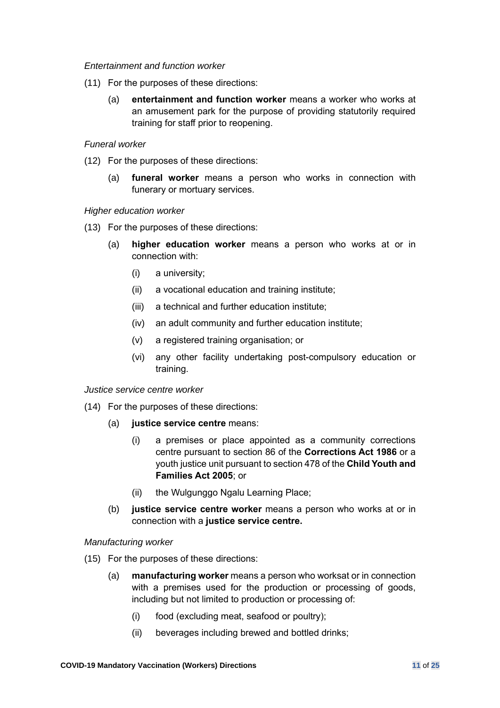#### <span id="page-10-2"></span><span id="page-10-1"></span><span id="page-10-0"></span>*Entertainment and function worker*

- (11) For the purposes of these directions:
	- (a) **entertainment and function worker** means a worker who works at an amusement park for the purpose of providing statutorily required training for staff prior to reopening.

## *Funeral worker*

- (12) For the purposes of these directions:
	- (a) **funeral worker** means a person who works in connection with funerary or mortuary services.

## *Higher education worker*

- <span id="page-10-3"></span>(13) For the purposes of these directions:
	- (a) **higher education worker** means a person who works at or in connection with:
		- (i) a university;
		- (ii) a vocational education and training institute;
		- (iii) a technical and further education institute;
		- (iv) an adult community and further education institute;
		- (v) a registered training organisation; or
		- (vi) any other facility undertaking post-compulsory education or training.

#### <span id="page-10-4"></span>*Justice service centre worker*

- (14) For the purposes of these directions:
	- (a) **justice service centre** means:
		- (i) a premises or place appointed as a community corrections centre pursuant to section 86 of the **Corrections Act 1986** or a youth justice unit pursuant to section 478 of the **Child Youth and Families Act 2005**; or
		- (ii) the Wulgunggo Ngalu Learning Place;
	- (b) **justice service centre worker** means a person who works at or in connection with a **justice service centre.**

## *Manufacturing worker*

- (15) For the purposes of these directions:
	- (a) **manufacturing worker** means a person who worksat or in connection with a premises used for the production or processing of goods, including but not limited to production or processing of:
		- (i) food (excluding meat, seafood or poultry);
		- (ii) beverages including brewed and bottled drinks;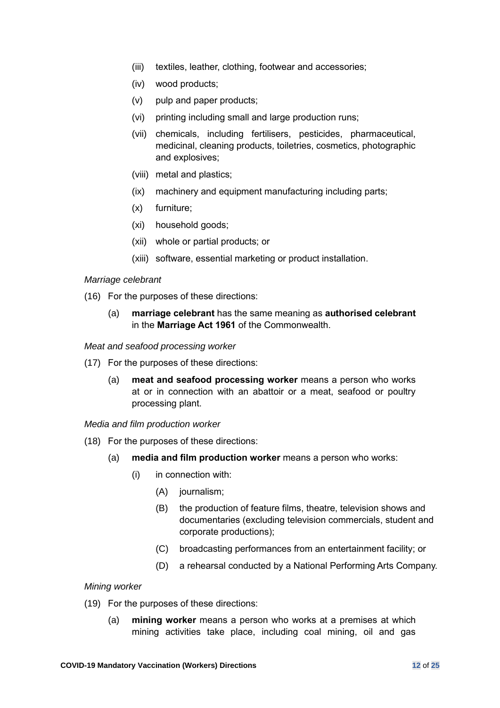- (iii) textiles, leather, clothing, footwear and accessories;
- (iv) wood products;
- <span id="page-11-0"></span>(v) pulp and paper products;
- (vi) printing including small and large production runs;
- (vii) chemicals, including fertilisers, pesticides, pharmaceutical, medicinal, cleaning products, toiletries, cosmetics, photographic and explosives;
- <span id="page-11-1"></span>(viii) metal and plastics;
- (ix) machinery and equipment manufacturing including parts;
- (x) furniture;
- (xi) household goods;
- (xii) whole or partial products; or
- (xiii) software, essential marketing or product installation.

## <span id="page-11-2"></span>*Marriage celebrant*

- (16) For the purposes of these directions:
	- (a) **marriage celebrant** has the same meaning as **authorised celebrant** in the **Marriage Act 1961** of the Commonwealth.

## *Meat and seafood processing worker*

- (17) For the purposes of these directions:
	- (a) **meat and seafood processing worker** means a person who works at or in connection with an abattoir or a meat, seafood or poultry processing plant.

## <span id="page-11-3"></span>*Media and film production worker*

- (18) For the purposes of these directions:
	- (a) **media and film production worker** means a person who works:
		- (i) in connection with:
			- (A) journalism;
			- (B) the production of feature films, theatre, television shows and documentaries (excluding television commercials, student and corporate productions);
			- (C) broadcasting performances from an entertainment facility; or
			- (D) a rehearsal conducted by a National Performing Arts Company.

## *Mining worker*

- (19) For the purposes of these directions:
	- (a) **mining worker** means a person who works at a premises at which mining activities take place, including coal mining, oil and gas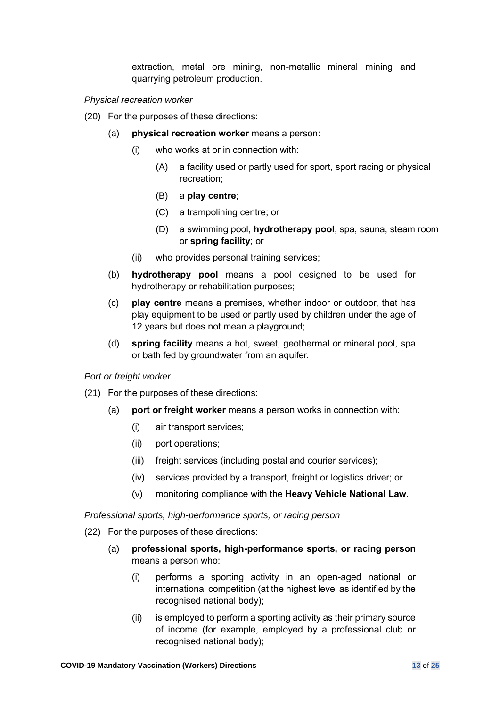<span id="page-12-0"></span>extraction, metal ore mining, non-metallic mineral mining and quarrying petroleum production.

#### *Physical recreation worker*

- <span id="page-12-1"></span>(20) For the purposes of these directions:
	- (a) **physical recreation worker** means a person:
		- (i) who works at or in connection with:
			- (A) a facility used or partly used for sport, sport racing or physical recreation;
			- (B) a **play centre**;
			- (C) a trampolining centre; or
			- (D) a swimming pool, **hydrotherapy pool**, spa, sauna, steam room or **spring facility**; or
		- (ii) who provides personal training services;
	- (b) **hydrotherapy pool** means a pool designed to be used for hydrotherapy or rehabilitation purposes;
	- (c) **play centre** means a premises, whether indoor or outdoor, that has play equipment to be used or partly used by children under the age of 12 years but does not mean a playground;
	- (d) **spring facility** means a hot, sweet, geothermal or mineral pool, spa or bath fed by groundwater from an aquifer.

#### <span id="page-12-2"></span>*Port or freight worker*

- (21) For the purposes of these directions:
	- (a) **port or freight worker** means a person works in connection with:
		- (i) air transport services;
		- (ii) port operations;
		- (iii) freight services (including postal and courier services);
		- (iv) services provided by a transport, freight or logistics driver; or
		- (v) monitoring compliance with the **Heavy Vehicle National Law**.

*Professional sports, high-performance sports, or racing person*

- (22) For the purposes of these directions:
	- (a) **professional sports, high-performance sports, or racing person**  means a person who:
		- (i) performs a sporting activity in an open-aged national or international competition (at the highest level as identified by the recognised national body);
		- (ii) is employed to perform a sporting activity as their primary source of income (for example, employed by a professional club or recognised national body);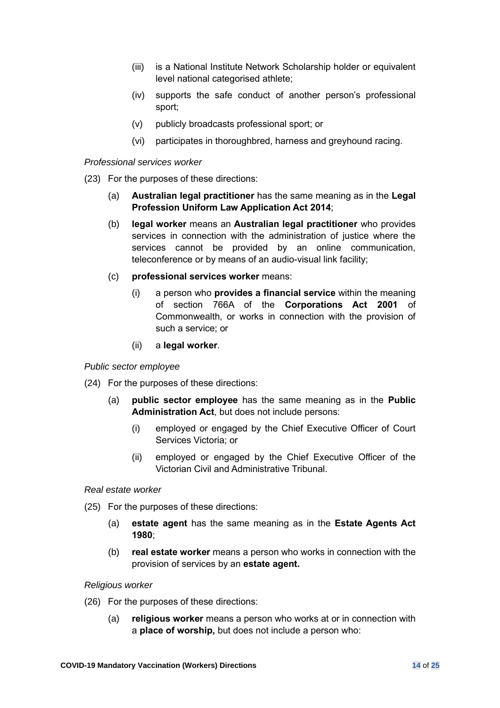- <span id="page-13-0"></span>(iii) is a National Institute Network Scholarship holder or equivalent level national categorised athlete;
- (iv) supports the safe conduct of another person's professional sport;
- (v) publicly broadcasts professional sport; or
- (vi) participates in thoroughbred, harness and greyhound racing.

## *Professional services worker*

- <span id="page-13-1"></span>(23) For the purposes of these directions:
	- (a) **Australian legal practitioner** has the same meaning as in the **Legal Profession Uniform Law Application Act 2014**;
	- (b) **legal worker** means an **Australian legal practitioner** who provides services in connection with the administration of justice where the services cannot be provided by an online communication, teleconference or by means of an audio-visual link facility;
	- (c) **professional services worker** means:
		- (i) a person who **provides a financial service** within the meaning of section 766A of the **Corporations Act 2001** of Commonwealth, or works in connection with the provision of such a service; or
		- (ii) a **legal worker**.

#### <span id="page-13-2"></span>*Public sector employee*

- <span id="page-13-3"></span>(24) For the purposes of these directions:
	- (a) **public sector employee** has the same meaning as in the **Public Administration Act**, but does not include persons:
		- (i) employed or engaged by the Chief Executive Officer of Court Services Victoria; or
		- (ii) employed or engaged by the Chief Executive Officer of the Victorian Civil and Administrative Tribunal.

## *Real estate worker*

- (25) For the purposes of these directions:
	- (a) **estate agent** has the same meaning as in the **Estate Agents Act 1980**;
	- (b) **real estate worker** means a person who works in connection with the provision of services by an **estate agent.**

#### *Religious worker*

- (26) For the purposes of these directions:
	- (a) **religious worker** means a person who works at or in connection with a **place of worship,** but does not include a person who: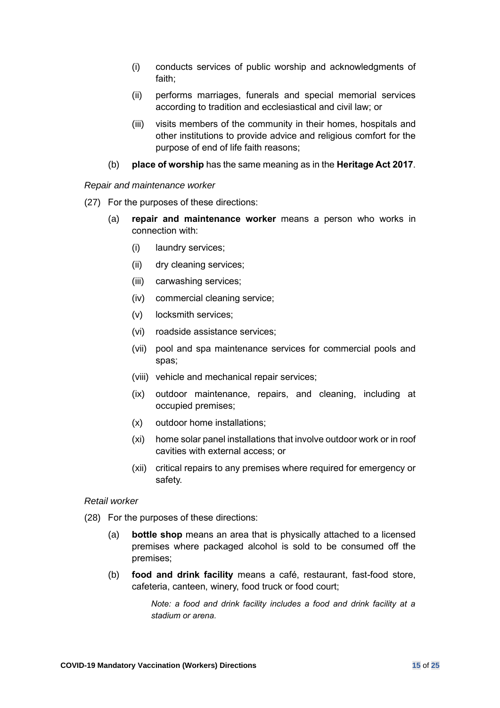- <span id="page-14-0"></span>(i) conducts services of public worship and acknowledgments of faith;
- (ii) performs marriages, funerals and special memorial services according to tradition and ecclesiastical and civil law; or
- (iii) visits members of the community in their homes, hospitals and other institutions to provide advice and religious comfort for the purpose of end of life faith reasons;
- (b) **place of worship** has the same meaning as in the **Heritage Act 2017**.

## *Repair and maintenance worker*

- (27) For the purposes of these directions:
	- (a) **repair and maintenance worker** means a person who works in connection with:
		- (i) laundry services;
		- (ii) dry cleaning services;
		- (iii) carwashing services;
		- (iv) commercial cleaning service;
		- (v) locksmith services;
		- (vi) roadside assistance services;
		- (vii) pool and spa maintenance services for commercial pools and spas;
		- (viii) vehicle and mechanical repair services;
		- (ix) outdoor maintenance, repairs, and cleaning, including at occupied premises;
		- (x) outdoor home installations;
		- (xi) home solar panel installations that involve outdoor work or in roof cavities with external access; or
		- (xii) critical repairs to any premises where required for emergency or safety.

## *Retail worker*

- (28) For the purposes of these directions:
	- (a) **bottle shop** means an area that is physically attached to a licensed premises where packaged alcohol is sold to be consumed off the premises;
	- (b) **food and drink facility** means a café, restaurant, fast-food store, cafeteria, canteen, winery, food truck or food court;

*Note: a food and drink facility includes a food and drink facility at a stadium or arena.*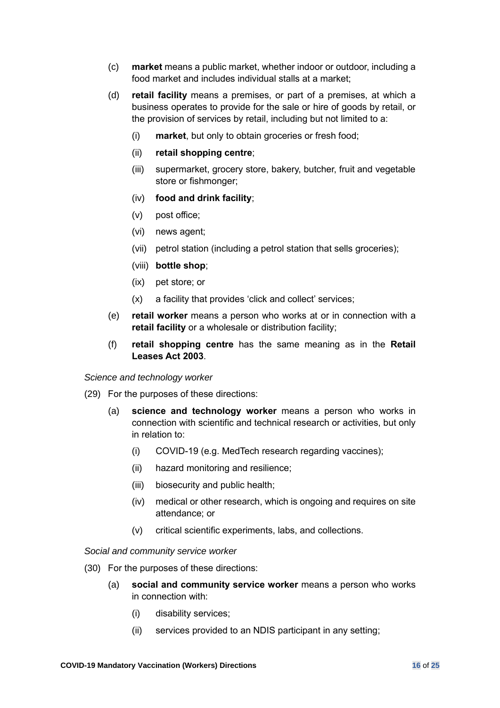- (c) **market** means a public market, whether indoor or outdoor, including a food market and includes individual stalls at a market;
- <span id="page-15-1"></span><span id="page-15-0"></span>(d) **retail facility** means a premises, or part of a premises, at which a business operates to provide for the sale or hire of goods by retail, or the provision of services by retail, including but not limited to a:
	- (i) **market**, but only to obtain groceries or fresh food;
	- (ii) **retail shopping centre**;
	- (iii) supermarket, grocery store, bakery, butcher, fruit and vegetable store or fishmonger;
	- (iv) **food and drink facility**;
	- (v) post office;
	- (vi) news agent;
	- (vii) petrol station (including a petrol station that sells groceries);
	- (viii) **bottle shop**;
	- (ix) pet store; or
	- (x) a facility that provides 'click and collect' services;
- (e) **retail worker** means a person who works at or in connection with a **retail facility** or a wholesale or distribution facility;
- (f) **retail shopping centre** has the same meaning as in the **Retail Leases Act 2003**.

<span id="page-15-2"></span>*Science and technology worker*

- (29) For the purposes of these directions:
	- (a) **science and technology worker** means a person who works in connection with scientific and technical research or activities, but only in relation to:
		- (i) COVID-19 (e.g. MedTech research regarding vaccines);
		- (ii) hazard monitoring and resilience;
		- (iii) biosecurity and public health;
		- (iv) medical or other research, which is ongoing and requires on site attendance; or
		- (v) critical scientific experiments, labs, and collections.

## *Social and community service worker*

- (30) For the purposes of these directions:
	- (a) **social and community service worker** means a person who works in connection with:
		- (i) disability services;
		- (ii) services provided to an NDIS participant in any setting;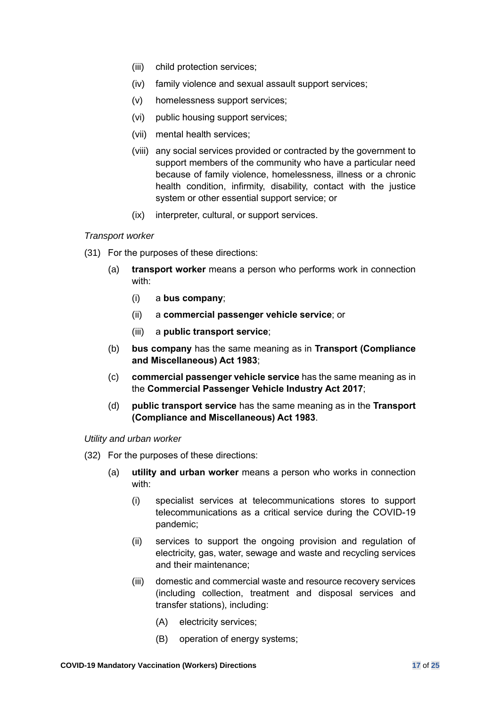- <span id="page-16-0"></span>(iii) child protection services;
- (iv) family violence and sexual assault support services;
- (v) homelessness support services;
- (vi) public housing support services;
- (vii) mental health services;
- (viii) any social services provided or contracted by the government to support members of the community who have a particular need because of family violence, homelessness, illness or a chronic health condition, infirmity, disability, contact with the justice system or other essential support service; or
- (ix) interpreter, cultural, or support services.

## *Transport worker*

- <span id="page-16-1"></span>(31) For the purposes of these directions:
	- (a) **transport worker** means a person who performs work in connection with:
		- (i) a **bus company**;
		- (ii) a **commercial passenger vehicle service**; or
		- (iii) a **public transport service**;
	- (b) **bus company** has the same meaning as in **Transport (Compliance and Miscellaneous) Act 1983**;
	- (c) **commercial passenger vehicle service** has the same meaning as in the **Commercial Passenger Vehicle Industry Act 2017**;
	- (d) **public transport service** has the same meaning as in the **Transport (Compliance and Miscellaneous) Act 1983**.

## *Utility and urban worker*

- (32) For the purposes of these directions:
	- (a) **utility and urban worker** means a person who works in connection with:
		- (i) specialist services at telecommunications stores to support telecommunications as a critical service during the COVID-19 pandemic;
		- (ii) services to support the ongoing provision and regulation of electricity, gas, water, sewage and waste and recycling services and their maintenance;
		- (iii) domestic and commercial waste and resource recovery services (including collection, treatment and disposal services and transfer stations), including:
			- (A) electricity services;
			- (B) operation of energy systems;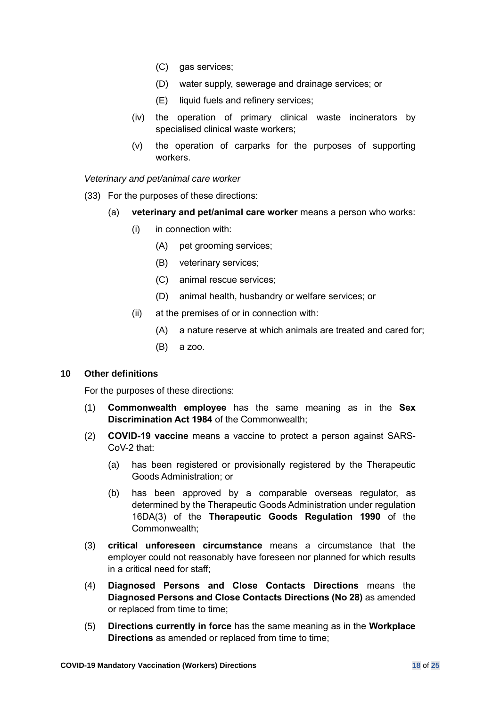- <span id="page-17-1"></span>(C) gas services;
- (D) water supply, sewerage and drainage services; or
- (E) liquid fuels and refinery services;
- (iv) the operation of primary clinical waste incinerators by specialised clinical waste workers;
- (v) the operation of carparks for the purposes of supporting workers.

*Veterinary and pet/animal care worker*

- (33) For the purposes of these directions:
	- (a) **veterinary and pet/animal care worker** means a person who works:
		- (i) in connection with:
			- (A) pet grooming services;
			- (B) veterinary services;
			- (C) animal rescue services;
			- (D) animal health, husbandry or welfare services; or
		- (ii) at the premises of or in connection with:
			- (A) a nature reserve at which animals are treated and cared for;
			- (B) a zoo.

## <span id="page-17-0"></span>**10 Other definitions**

For the purposes of these directions:

- (1) **Commonwealth employee** has the same meaning as in the **Sex Discrimination Act 1984** of the Commonwealth;
- (2) **COVID-19 vaccine** means a vaccine to protect a person against SARS-CoV-2 that:
	- (a) has been registered or provisionally registered by the Therapeutic Goods Administration; or
	- (b) has been approved by a comparable overseas regulator, as determined by the Therapeutic Goods Administration under regulation 16DA(3) of the **Therapeutic Goods Regulation 1990** of the Commonwealth;
- (3) **critical unforeseen circumstance** means a circumstance that the employer could not reasonably have foreseen nor planned for which results in a critical need for staff;
- (4) **Diagnosed Persons and Close Contacts Directions** means the **Diagnosed Persons and Close Contacts Directions (No 28)** as amended or replaced from time to time;
- (5) **Directions currently in force** has the same meaning as in the **Workplace Directions** as amended or replaced from time to time;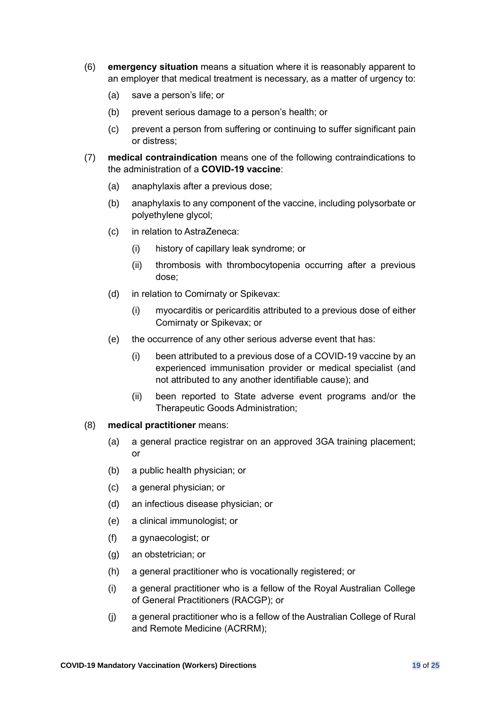- (6) **emergency situation** means a situation where it is reasonably apparent to an employer that medical treatment is necessary, as a matter of urgency to:
	- (a) save a person's life; or
	- (b) prevent serious damage to a person's health; or
	- (c) prevent a person from suffering or continuing to suffer significant pain or distress;
- (7) **medical contraindication** means one of the following contraindications to the administration of a **COVID-19 vaccine**:
	- (a) anaphylaxis after a previous dose;
	- (b) anaphylaxis to any component of the vaccine, including polysorbate or polyethylene glycol;
	- (c) in relation to AstraZeneca:
		- (i) history of capillary leak syndrome; or
		- (ii) thrombosis with thrombocytopenia occurring after a previous dose;
	- (d) in relation to Comirnaty or Spikevax:
		- (i) myocarditis or pericarditis attributed to a previous dose of either Comirnaty or Spikevax; or
	- (e) the occurrence of any other serious adverse event that has:
		- (i) been attributed to a previous dose of a COVID-19 vaccine by an experienced immunisation provider or medical specialist (and not attributed to any another identifiable cause); and
		- (ii) been reported to State adverse event programs and/or the Therapeutic Goods Administration;

#### (8) **medical practitioner** means:

- (a) a general practice registrar on an approved 3GA training placement; or
- (b) a public health physician; or
- (c) a general physician; or
- (d) an infectious disease physician; or
- (e) a clinical immunologist; or
- (f) a gynaecologist; or
- (g) an obstetrician; or
- (h) a general practitioner who is vocationally registered; or
- (i) a general practitioner who is a fellow of the Royal Australian College of General Practitioners (RACGP); or
- (j) a general practitioner who is a fellow of the Australian College of Rural and Remote Medicine (ACRRM);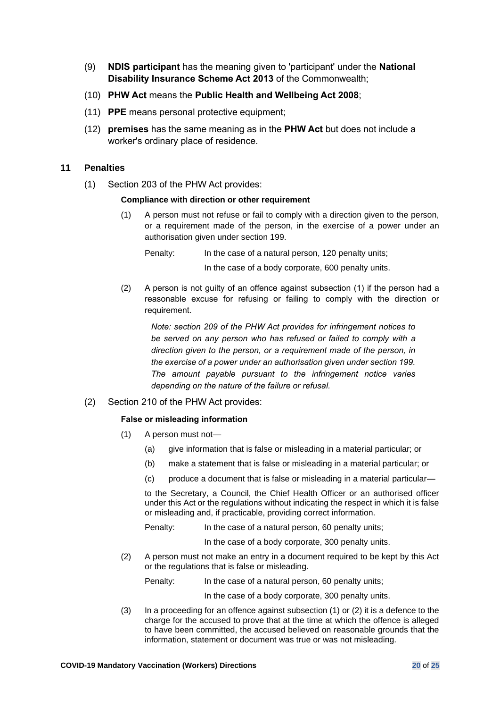- (9) **NDIS participant** has the meaning given to 'participant' under the **National Disability Insurance Scheme Act 2013** of the Commonwealth;
- (10) **PHW Act** means the **Public Health and Wellbeing Act 2008**;
- (11) **PPE** means personal protective equipment;
- (12) **premises** has the same meaning as in the **PHW Act** but does not include a worker's ordinary place of residence.

## **11 Penalties**

(1) Section 203 of the PHW Act provides:

#### **Compliance with direction or other requirement**

(1) A person must not refuse or fail to comply with a direction given to the person, or a requirement made of the person, in the exercise of a power under an authorisation given under section 199.

Penalty: In the case of a natural person, 120 penalty units;

In the case of a body corporate, 600 penalty units.

(2) A person is not guilty of an offence against subsection (1) if the person had a reasonable excuse for refusing or failing to comply with the direction or requirement.

*Note: section 209 of the PHW Act provides for infringement notices to be served on any person who has refused or failed to comply with a direction given to the person, or a requirement made of the person, in the exercise of a power under an authorisation given under section 199. The amount payable pursuant to the infringement notice varies depending on the nature of the failure or refusal.*

## (2) Section 210 of the PHW Act provides:

## **False or misleading information**

- (1) A person must not—
	- (a) give information that is false or misleading in a material particular; or
	- (b) make a statement that is false or misleading in a material particular; or
	- (c) produce a document that is false or misleading in a material particular—

to the Secretary, a Council, the Chief Health Officer or an authorised officer under this Act or the regulations without indicating the respect in which it is false or misleading and, if practicable, providing correct information.

Penalty: In the case of a natural person, 60 penalty units;

In the case of a body corporate, 300 penalty units.

(2) A person must not make an entry in a document required to be kept by this Act or the regulations that is false or misleading.

Penalty: In the case of a natural person, 60 penalty units;

In the case of a body corporate, 300 penalty units.

(3) In a proceeding for an offence against subsection (1) or (2) it is a defence to the charge for the accused to prove that at the time at which the offence is alleged to have been committed, the accused believed on reasonable grounds that the information, statement or document was true or was not misleading.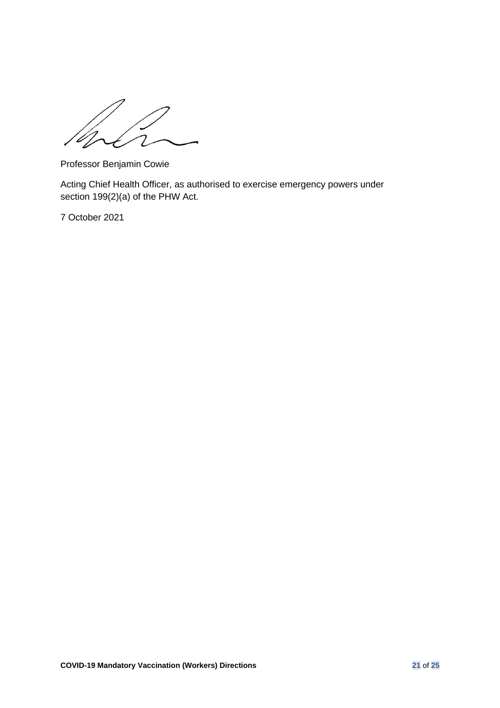$\overline{\mathcal{L}}$ 

Professor Benjamin Cowie

Acting Chief Health Officer, as authorised to exercise emergency powers under section 199(2)(a) of the PHW Act.

7 October 2021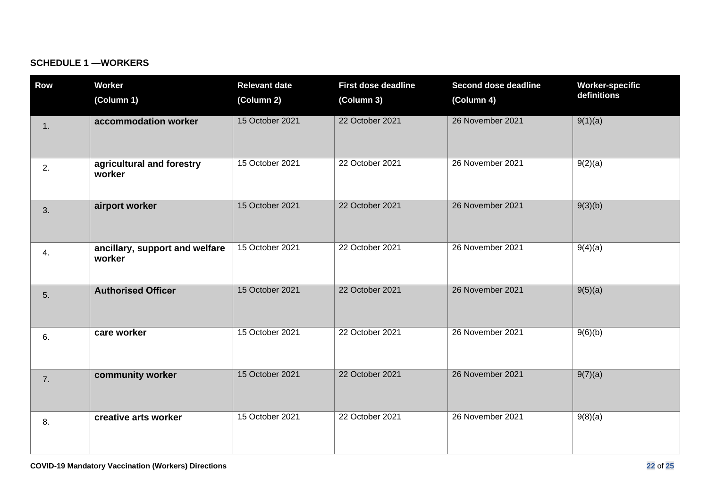## **SCHEDULE 1 —WORKERS**

| <b>Row</b> | <b>Worker</b>                            | <b>Relevant date</b> | <b>First dose deadline</b> | Second dose deadline | <b>Worker-specific</b> |
|------------|------------------------------------------|----------------------|----------------------------|----------------------|------------------------|
|            | (Column 1)                               | (Column 2)           | (Column 3)                 | (Column 4)           | definitions            |
| 1.         | accommodation worker                     | 15 October 2021      | 22 October 2021            | 26 November 2021     | 9(1)(a)                |
| 2.         | agricultural and forestry<br>worker      | 15 October 2021      | 22 October 2021            | 26 November 2021     | 9(2)(a)                |
| 3.         | airport worker                           | 15 October 2021      | 22 October 2021            | 26 November 2021     | 9(3)(b)                |
| 4.         | ancillary, support and welfare<br>worker | 15 October 2021      | 22 October 2021            | 26 November 2021     | 9(4)(a)                |
| 5.         | <b>Authorised Officer</b>                | 15 October 2021      | 22 October 2021            | 26 November 2021     | 9(5)(a)                |
| 6.         | care worker                              | 15 October 2021      | 22 October 2021            | 26 November 2021     | 9(6)(b)                |
| 7.         | community worker                         | 15 October 2021      | 22 October 2021            | 26 November 2021     | 9(7)(a)                |
| 8.         | creative arts worker                     | 15 October 2021      | 22 October 2021            | 26 November 2021     | 9(8)(a)                |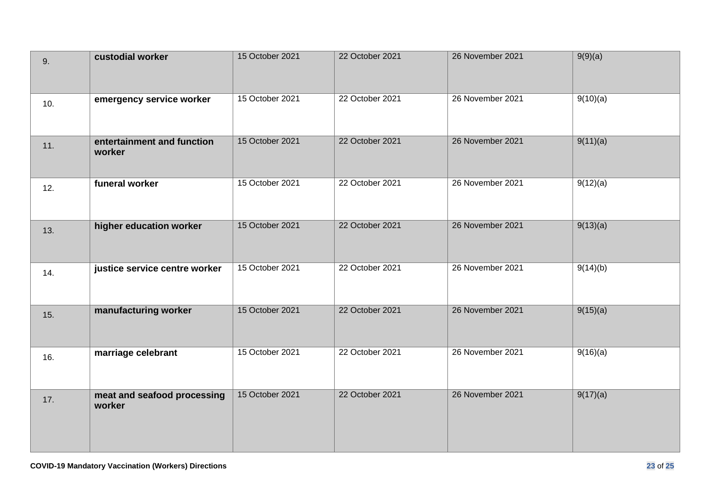| 9.  | custodial worker                      | 15 October 2021 | 22 October 2021 | 26 November 2021 | 9(9)(a)  |
|-----|---------------------------------------|-----------------|-----------------|------------------|----------|
| 10. | emergency service worker              | 15 October 2021 | 22 October 2021 | 26 November 2021 | 9(10)(a) |
| 11. | entertainment and function<br>worker  | 15 October 2021 | 22 October 2021 | 26 November 2021 | 9(11)(a) |
| 12. | funeral worker                        | 15 October 2021 | 22 October 2021 | 26 November 2021 | 9(12)(a) |
| 13. | higher education worker               | 15 October 2021 | 22 October 2021 | 26 November 2021 | 9(13)(a) |
| 14. | justice service centre worker         | 15 October 2021 | 22 October 2021 | 26 November 2021 | 9(14)(b) |
| 15. | manufacturing worker                  | 15 October 2021 | 22 October 2021 | 26 November 2021 | 9(15)(a) |
| 16. | marriage celebrant                    | 15 October 2021 | 22 October 2021 | 26 November 2021 | 9(16)(a) |
| 17. | meat and seafood processing<br>worker | 15 October 2021 | 22 October 2021 | 26 November 2021 | 9(17)(a) |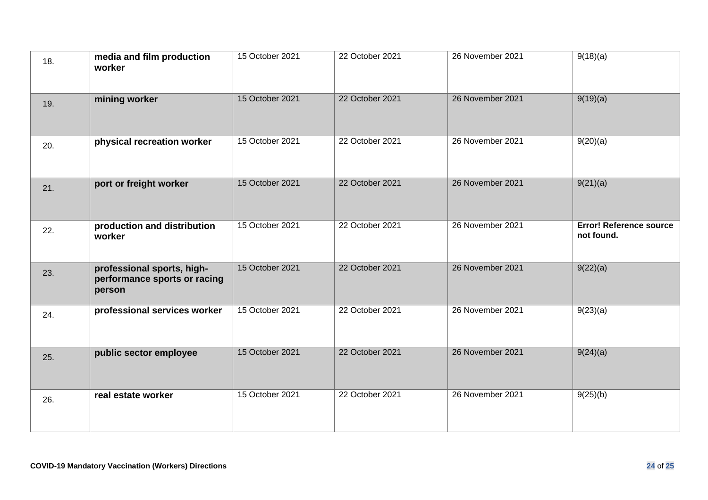| 18. | media and film production<br>worker                                  | 15 October 2021 | 22 October 2021 | 26 November 2021 | 9(18)(a)                                     |
|-----|----------------------------------------------------------------------|-----------------|-----------------|------------------|----------------------------------------------|
| 19. | mining worker                                                        | 15 October 2021 | 22 October 2021 | 26 November 2021 | 9(19)(a)                                     |
| 20. | physical recreation worker                                           | 15 October 2021 | 22 October 2021 | 26 November 2021 | 9(20)(a)                                     |
| 21. | port or freight worker                                               | 15 October 2021 | 22 October 2021 | 26 November 2021 | 9(21)(a)                                     |
| 22. | production and distribution<br>worker                                | 15 October 2021 | 22 October 2021 | 26 November 2021 | <b>Error! Reference source</b><br>not found. |
| 23. | professional sports, high-<br>performance sports or racing<br>person | 15 October 2021 | 22 October 2021 | 26 November 2021 | 9(22)(a)                                     |
| 24. | professional services worker                                         | 15 October 2021 | 22 October 2021 | 26 November 2021 | 9(23)(a)                                     |
| 25. | public sector employee                                               | 15 October 2021 | 22 October 2021 | 26 November 2021 | 9(24)(a)                                     |
| 26. | real estate worker                                                   | 15 October 2021 | 22 October 2021 | 26 November 2021 | 9(25)(b)                                     |